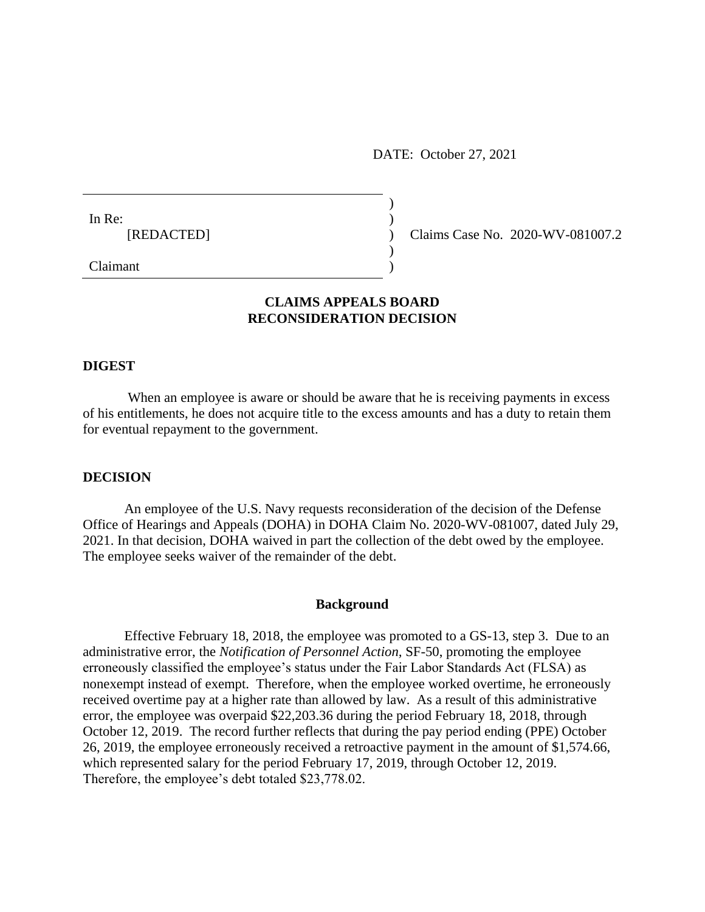DATE: October 27, 2021

| In Re:     |  |
|------------|--|
| [REDACTED] |  |
|            |  |

) Claims Case No. 2020-WV-081007.2

Claimant )

# **CLAIMS APPEALS BOARD RECONSIDERATION DECISION**

)

## **DIGEST**

When an employee is aware or should be aware that he is receiving payments in excess of his entitlements, he does not acquire title to the excess amounts and has a duty to retain them for eventual repayment to the government.

#### **DECISION**

An employee of the U.S. Navy requests reconsideration of the decision of the Defense Office of Hearings and Appeals (DOHA) in DOHA Claim No. 2020-WV-081007, dated July 29, 2021. In that decision, DOHA waived in part the collection of the debt owed by the employee. The employee seeks waiver of the remainder of the debt.

## **Background**

Effective February 18, 2018, the employee was promoted to a GS-13, step 3. Due to an administrative error, the *Notification of Personnel Action,* SF-50, promoting the employee erroneously classified the employee's status under the Fair Labor Standards Act (FLSA) as nonexempt instead of exempt. Therefore, when the employee worked overtime, he erroneously received overtime pay at a higher rate than allowed by law. As a result of this administrative error, the employee was overpaid \$22,203.36 during the period February 18, 2018, through October 12, 2019. The record further reflects that during the pay period ending (PPE) October 26, 2019, the employee erroneously received a retroactive payment in the amount of \$1,574.66, which represented salary for the period February 17, 2019, through October 12, 2019. Therefore, the employee's debt totaled \$23,778.02.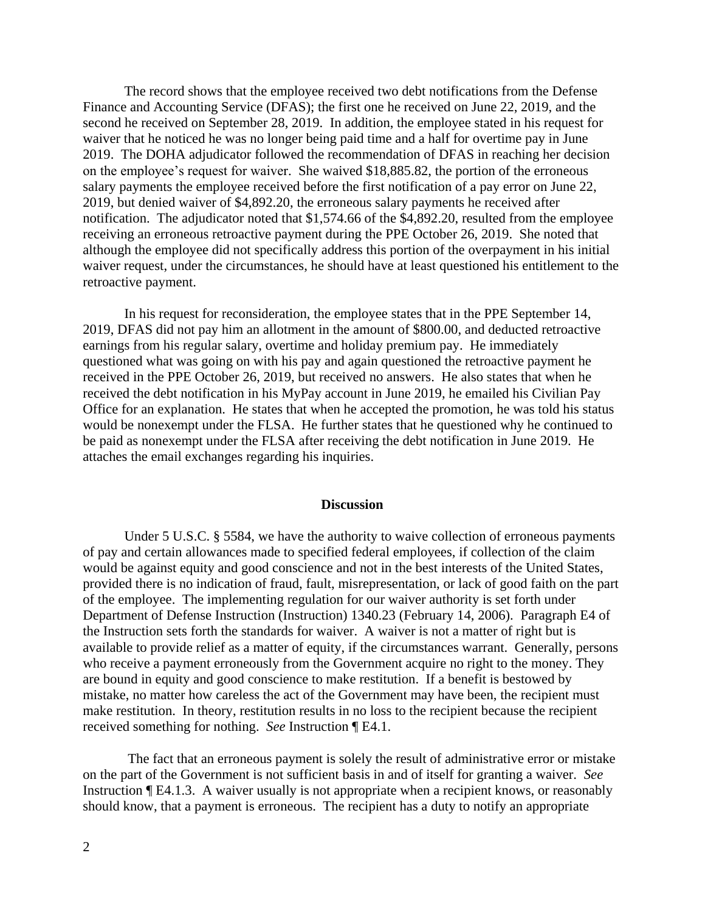The record shows that the employee received two debt notifications from the Defense Finance and Accounting Service (DFAS); the first one he received on June 22, 2019, and the second he received on September 28, 2019. In addition, the employee stated in his request for waiver that he noticed he was no longer being paid time and a half for overtime pay in June 2019. The DOHA adjudicator followed the recommendation of DFAS in reaching her decision on the employee's request for waiver. She waived \$18,885.82, the portion of the erroneous salary payments the employee received before the first notification of a pay error on June 22, 2019, but denied waiver of \$4,892.20, the erroneous salary payments he received after notification. The adjudicator noted that \$1,574.66 of the \$4,892.20, resulted from the employee receiving an erroneous retroactive payment during the PPE October 26, 2019. She noted that although the employee did not specifically address this portion of the overpayment in his initial waiver request, under the circumstances, he should have at least questioned his entitlement to the retroactive payment.

In his request for reconsideration, the employee states that in the PPE September 14, 2019, DFAS did not pay him an allotment in the amount of \$800.00, and deducted retroactive earnings from his regular salary, overtime and holiday premium pay. He immediately questioned what was going on with his pay and again questioned the retroactive payment he received in the PPE October 26, 2019, but received no answers. He also states that when he received the debt notification in his MyPay account in June 2019, he emailed his Civilian Pay Office for an explanation. He states that when he accepted the promotion, he was told his status would be nonexempt under the FLSA. He further states that he questioned why he continued to be paid as nonexempt under the FLSA after receiving the debt notification in June 2019. He attaches the email exchanges regarding his inquiries.

#### **Discussion**

Under [5 U.S.C. § 5584,](http://www.westlaw.com/Link/Document/FullText?findType=L&pubNum=1000546&cite=5USCAS5584&originatingDoc=Id51777f45b3411e598dc8b09b4f043e0&refType=LQ&originationContext=document&vr=3.0&rs=cblt1.0&transitionType=DocumentItem&contextData=(sc.Search)) we have the authority to waive collection of erroneous payments of pay and certain allowances made to specified federal employees, if collection of the claim would be against equity and good conscience and not in the best interests of the United States, provided there is no indication of fraud, fault, misrepresentation, or lack of good faith on the part of the employee. The implementing regulation for our waiver authority is set forth under Department of Defense Instruction (Instruction) 1340.23 (February 14, 2006). Paragraph E4 of the Instruction sets forth the standards for waiver. A waiver is not a matter of right but is available to provide relief as a matter of equity, if the circumstances warrant. Generally, persons who receive a payment erroneously from the Government acquire no right to the money. They are bound in equity and good conscience to make restitution. If a benefit is bestowed by mistake, no matter how careless the act of the Government may have been, the recipient must make restitution. In theory, restitution results in no loss to the recipient because the recipient received something for nothing. *See* Instruction ¶ E4.1.

The fact that an erroneous payment is solely the result of administrative error or mistake on the part of the Government is not sufficient basis in and of itself for granting a waiver. *See*  Instruction ¶ E4.1.3. A waiver usually is not appropriate when a recipient knows, or reasonably should know, that a payment is erroneous. The recipient has a duty to notify an appropriate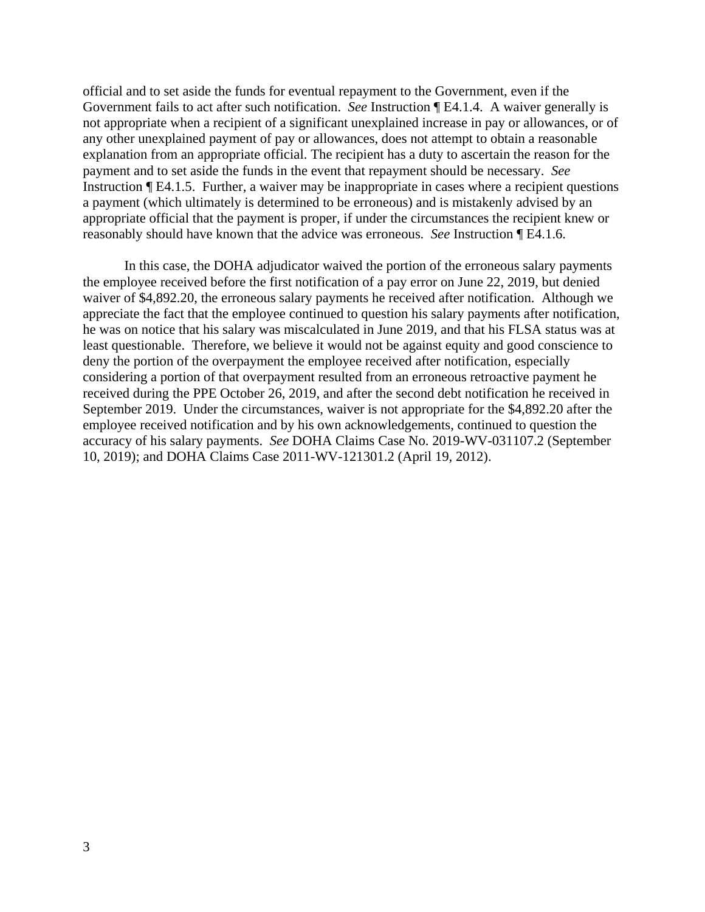official and to set aside the funds for eventual repayment to the Government, even if the Government fails to act after such notification. *See* Instruction ¶ E4.1.4. A waiver generally is not appropriate when a recipient of a significant unexplained increase in pay or allowances, or of any other unexplained payment of pay or allowances, does not attempt to obtain a reasonable explanation from an appropriate official. The recipient has a duty to ascertain the reason for the payment and to set aside the funds in the event that repayment should be necessary. *See*  Instruction ¶ E4.1.5. Further, a waiver may be inappropriate in cases where a recipient questions a payment (which ultimately is determined to be erroneous) and is mistakenly advised by an appropriate official that the payment is proper, if under the circumstances the recipient knew or reasonably should have known that the advice was erroneous. *See* Instruction ¶ E4.1.6.

In this case, the DOHA adjudicator waived the portion of the erroneous salary payments the employee received before the first notification of a pay error on June 22, 2019, but denied waiver of \$4,892.20, the erroneous salary payments he received after notification. Although we appreciate the fact that the employee continued to question his salary payments after notification, he was on notice that his salary was miscalculated in June 2019, and that his FLSA status was at least questionable. Therefore, we believe it would not be against equity and good conscience to deny the portion of the overpayment the employee received after notification, especially considering a portion of that overpayment resulted from an erroneous retroactive payment he received during the PPE October 26, 2019, and after the second debt notification he received in September 2019. Under the circumstances, waiver is not appropriate for the \$4,892.20 after the employee received notification and by his own acknowledgements, continued to question the accuracy of his salary payments. *See* DOHA Claims Case No. 2019-WV-031107.2 (September 10, 2019); and DOHA Claims Case 2011-WV-121301.2 (April 19, 2012).